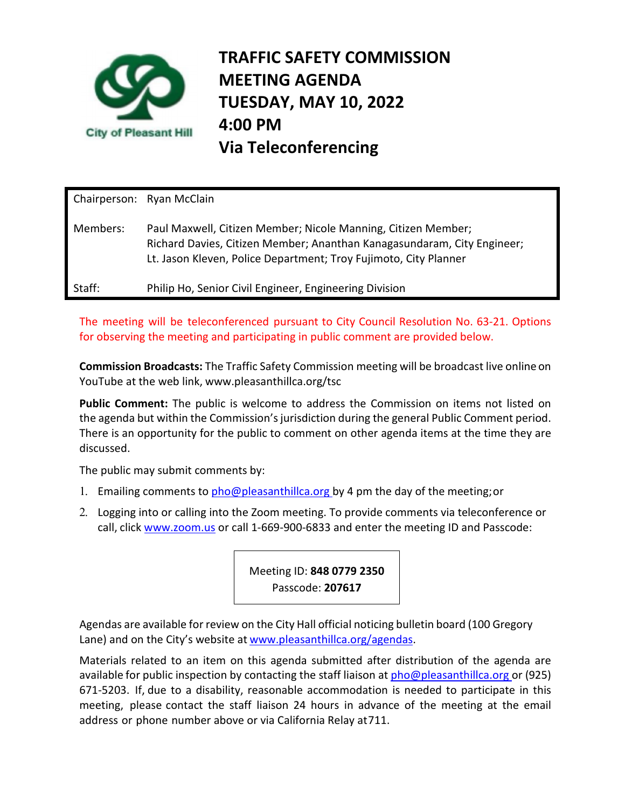

**TRAFFIC SAFETY COMMISSION MEETING AGENDA TUESDAY, MAY 10, 2022 4:00 PM Via Teleconferencing** 

Chairperson: Ryan McClain Members: Paul Maxwell, Citizen Member; Nicole Manning, Citizen Member; Richard Davies, Citizen Member; Ananthan Kanagasundaram, City Engineer; Lt. Jason Kleven, Police Department; Troy Fujimoto, City Planner Staff: Philip Ho, Senior Civil Engineer, Engineering Division

The meeting will be teleconferenced pursuant to City Council Resolution No. 63-21. Options for observing the meeting and participating in public comment are provided below.

**Commission Broadcasts:** The Traffic Safety Commission meeting will be broadcast live online on YouTube at the web link, www.pleasanthillca.org/tsc

Public Comment: The public is welcome to address the Commission on items not listed on the agenda but within the Commission's jurisdiction during the general Public Comment period. There is an opportunity for the public to comment on other agenda items at the time they are discussed.

The public may submit comments by:

- 1. Emailing comments to pho@pleasanthillca.org by 4 pm the day of the meeting; or
- 2. Logging into or calling into the Zoom meeting. To provide comments via teleconference or call, click www.zoom.us or call 1-669-900-6833 and enter the meeting ID and Passcode:

Meeting ID: **848 0779 2350** Passcode: **207617**

Agendas are available for review on the City Hall official noticing bulletin board (100 Gregory Lane) and on the City's website at www.pleasanthillca.org/agendas.

Materials related to an item on this agenda submitted after distribution of the agenda are available for public inspection by contacting the staff liaison at  $pho@p$  leasanthillca.org or (925) 671-5203. If, due to a disability, reasonable accommodation is needed to participate in this meeting, please contact the staff liaison 24 hours in advance of the meeting at the email address or phone number above or via California Relay at 711.